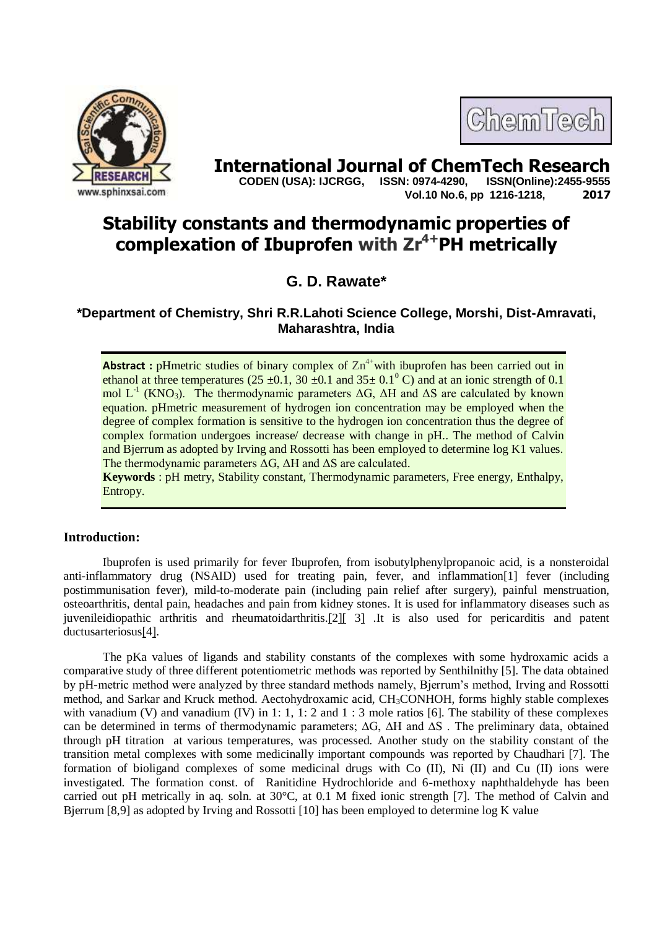



**International Journal of ChemTech Research <br>CODEN (USA): IJCRGG. ISSN: 0974-4290. ISSN(Online):2455-9555 CODEN (USA): IJCRGG, ISSN: 0974-4290, Vol.10 No.6, pp 1216-1218, 2017**

# **Stability constants and thermodynamic properties of complexation of Ibuprofen with Zr 4+PH metrically**

# **G. D. Rawate\***

**\*Department of Chemistry, Shri R.R.Lahoti Science College, Morshi, Dist-Amravati, Maharashtra, India**

**Abstract**: pHmetric studies of binary complex of  $\text{Zn}^{4+}$  with ibuprofen has been carried out in ethanol at three temperatures (25  $\pm$ 0.1, 30  $\pm$ 0.1 and 35 $\pm$  0.1<sup>0</sup> C) and at an ionic strength of 0.1 mol L<sup>-1</sup> (KNO<sub>3</sub>). The thermodynamic parameters ΔG, ΔH and ΔS are calculated by known equation. pHmetric measurement of hydrogen ion concentration may be employed when the degree of complex formation is sensitive to the hydrogen ion concentration thus the degree of complex formation undergoes increase/ decrease with change in pH.. The method of Calvin and Bjerrum as adopted by Irving and Rossotti has been employed to determine log K1 values. The thermodynamic parameters ΔG, ΔH and ΔS are calculated.

**Keywords** : pH metry, Stability constant, Thermodynamic parameters, Free energy, Enthalpy, Entropy.

# **Introduction:**

Ibuprofen is used primarily for [fever Ibuprofen, from isobutylphenylpropanoic acid, is a nonsteroidal](https://en.wikipedia.org/wiki/Fever)  [anti-inflammatory drug](https://en.wikipedia.org/wiki/Fever) (NSAID) used for treating [pain,](https://en.wikipedia.org/wiki/Pain) [fever,](https://en.wikipedia.org/wiki/Fever) and [inflammation\[](https://en.wikipedia.org/wiki/Inflammation)1] fever (including postimmunisation fever), mild-to-moderate [pain](https://en.wikipedia.org/wiki/Pain) (including pain relief after [surgery\)](https://en.wikipedia.org/wiki/Surgery), [painful menstruation,](https://en.wikipedia.org/wiki/Dysmenorrhoea) [osteoarthritis,](https://en.wikipedia.org/wiki/Osteoarthritis) dental pain, [headaches](https://en.wikipedia.org/wiki/Headache) and [pain from kidney stones.](https://en.wikipedia.org/wiki/Renal_colic) It is used for inflammatory diseases such as [juvenileidiopathic arthritis](https://en.wikipedia.org/wiki/Juvenile_idiopathic_arthritis) and [rheumatoidarthritis.](https://en.wikipedia.org/wiki/Rheumatoid_arthritis)[\[2\]\[](https://en.wikipedia.org/wiki/Ibuprofen#cite_note-BNF-10) [3\]](https://en.wikipedia.org/wiki/Ibuprofen#cite_note-BNF-10) .It is also used for [pericarditis](https://en.wikipedia.org/wiki/Pericarditis) and [patent](https://en.wikipedia.org/wiki/Patent_ductus_arteriosus)  [ductusarteriosus](https://en.wikipedia.org/wiki/Patent_ductus_arteriosus)[\[4\].](https://en.wikipedia.org/wiki/Ibuprofen#cite_note-AHFS-12)

The pKa values of ligands and stability constants of the complexes with some hydroxamic acids a comparative study of three different potentiometric methods was reported by Senthilnithy [5]. The data obtained by pH-metric method were analyzed by three standard methods namely, Bjerrum's method, Irving and Rossotti method, and Sarkar and Kruck method. Aectohydroxamic acid, CH<sub>3</sub>CONHOH, forms highly stable complexes with vanadium (V) and vanadium (IV) in 1: 1, 1: 2 and 1 : 3 mole ratios [6]. The stability of these complexes can be determined in terms of thermodynamic parameters; ∆G, ∆H and ∆S . The preliminary data, obtained through pH titration at various temperatures, was processed. Another study on the stability constant of the transition metal complexes with some medicinally important compounds was reported by Chaudhari [7]. The formation of bioligand complexes of some medicinal drugs with Co (II), Ni (II) and Cu (II) ions were investigated. The formation const. of Ranitidine Hydrochloride and 6-methoxy naphthaldehyde has been carried out pH metrically in aq. soln. at  $30^{\circ}$ C, at 0.1 M fixed ionic strength [7]. The method of Calvin and Bjerrum [8,9] as adopted by Irving and Rossotti [10] has been employed to determine log K value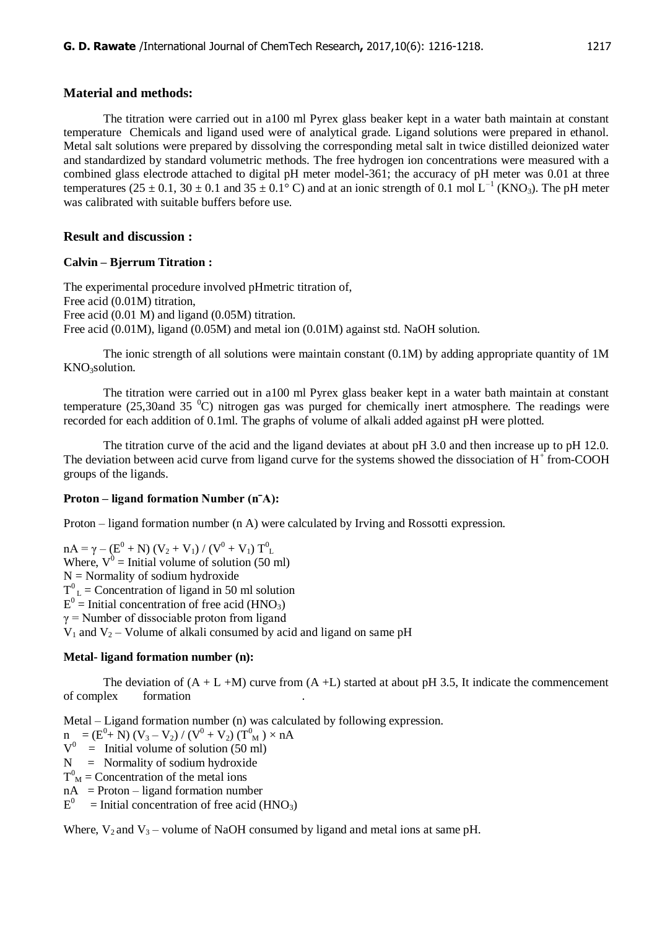### **Material and methods:**

The titration were carried out in a100 ml Pyrex glass beaker kept in a water bath maintain at constant temperature Chemicals and ligand used were of analytical grade. Ligand solutions were prepared in ethanol. Metal salt solutions were prepared by dissolving the corresponding metal salt in twice distilled deionized water and standardized by standard volumetric methods. The free hydrogen ion concentrations were measured with a combined glass electrode attached to digital pH meter model-361; the accuracy of pH meter was 0.01 at three temperatures (25  $\pm$  0.1, 30  $\pm$  0.1 and 35  $\pm$  0.1<sup>o</sup> C) and at an ionic strength of 0.1 mol L<sup>-1</sup> (KNO<sub>3</sub>). The pH meter was calibrated with suitable buffers before use.

# **Result and discussion :**

### **Calvin – Bjerrum Titration :**

The experimental procedure involved pHmetric titration of, Free acid (0.01M) titration, Free acid (0.01 M) and ligand (0.05M) titration. Free acid (0.01M), ligand (0.05M) and metal ion (0.01M) against std. NaOH solution.

The ionic strength of all solutions were maintain constant (0.1M) by adding appropriate quantity of 1M KNO<sub>3</sub>solution.

The titration were carried out in a100 ml Pyrex glass beaker kept in a water bath maintain at constant temperature (25,30and 35  $^{\circ}$ C) nitrogen gas was purged for chemically inert atmosphere. The readings were recorded for each addition of 0.1ml. The graphs of volume of alkali added against pH were plotted.

The titration curve of the acid and the ligand deviates at about pH 3.0 and then increase up to pH 12.0. The deviation between acid curve from ligand curve for the systems showed the dissociation of  $H^+$  from-COOH groups of the ligands.

### **Proton – ligand formation Number (nˉA):**

Proton – ligand formation number (n A) were calculated by Irving and Rossotti expression.

 $nA = \gamma - (E^0 + N) (V_2 + V_1) / (V^0 + V_1) T^0$ Where,  $V^0$  = Initial volume of solution (50 ml)  $N =$  Normality of sodium hydroxide  $T^{0}$ <sub>L</sub> = Concentration of ligand in 50 ml solution  $E^0$  = Initial concentration of free acid (HNO<sub>3</sub>)  $\gamma$  = Number of dissociable proton from ligand  $V_1$  and  $V_2$  – Volume of alkali consumed by acid and ligand on same pH

### **Metal- ligand formation number (n):**

The deviation of  $(A + L + M)$  curve from  $(A + L)$  started at about pH 3.5, It indicate the commencement of complex formation .

Metal – Ligand formation number (n) was calculated by following expression.

 $n = (E^0 + N) (V_3 - V_2) / (V^0 + V_2) (T^0_M) \times nA$ 

 $V^0$  = Initial volume of solution (50 ml)

- $N =$  Normality of sodium hydroxide
- $T<sup>0</sup><sub>M</sub>$  = Concentration of the metal ions
- $nA =$  Proton ligand formation number

 $E^0$  = Initial concentration of free acid (HNO<sub>3</sub>)

Where,  $V_2$  and  $V_3$  – volume of NaOH consumed by ligand and metal ions at same pH.